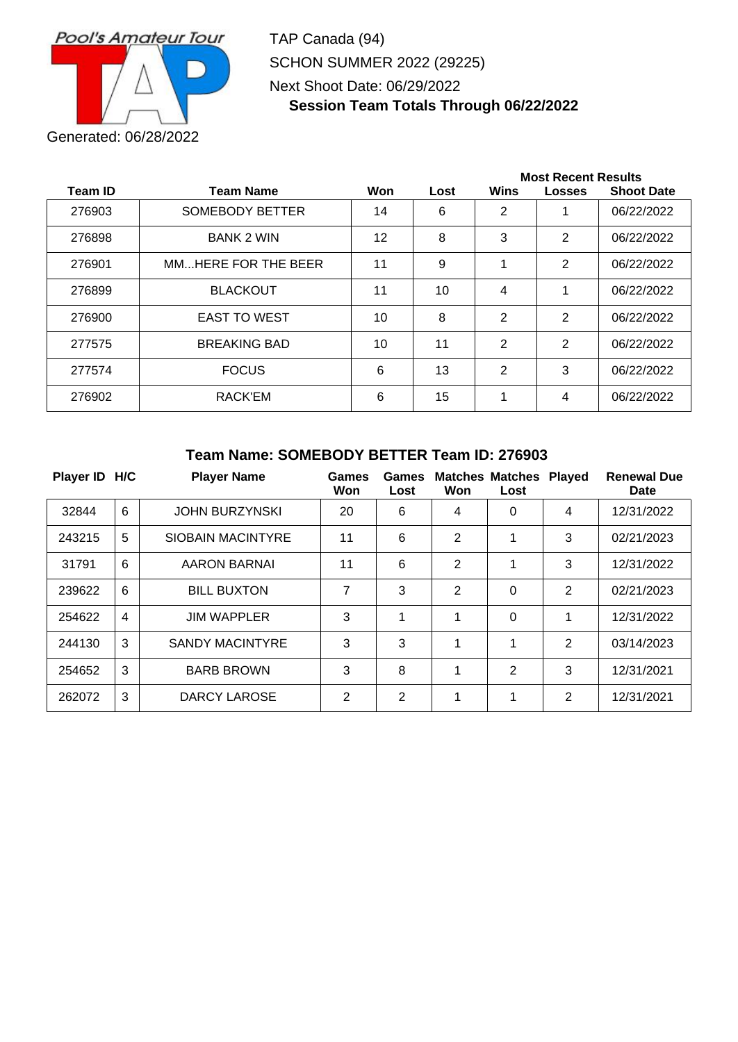

TAP Canada (94) SCHON SUMMER 2022 (29225) Next Shoot Date: 06/29/2022 **Session Team Totals Through 06/22/2022**

|                |                        |     |      | <b>Most Recent Results</b> |                |                   |  |  |
|----------------|------------------------|-----|------|----------------------------|----------------|-------------------|--|--|
| <b>Team ID</b> | <b>Team Name</b>       | Won | Lost | Wins                       | <b>Losses</b>  | <b>Shoot Date</b> |  |  |
| 276903         | <b>SOMEBODY BETTER</b> | 14  | 6    | 2                          |                | 06/22/2022        |  |  |
| 276898         | <b>BANK 2 WIN</b>      | 12  | 8    | 3                          | $\overline{2}$ | 06/22/2022        |  |  |
| 276901         | MMHERE FOR THE BEER    | 11  | 9    |                            | $\overline{2}$ | 06/22/2022        |  |  |
| 276899         | <b>BLACKOUT</b>        | 11  | 10   | 4                          |                | 06/22/2022        |  |  |
| 276900         | <b>EAST TO WEST</b>    | 10  | 8    | 2                          | 2              | 06/22/2022        |  |  |
| 277575         | <b>BREAKING BAD</b>    | 10  | 11   | $\mathbf{2}$               | $\overline{2}$ | 06/22/2022        |  |  |
| 277574         | <b>FOCUS</b>           | 6   | 13   | 2                          | 3              | 06/22/2022        |  |  |
| 276902         | RACK'EM                | 6   | 15   |                            | 4              | 06/22/2022        |  |  |

#### **Team Name: SOMEBODY BETTER Team ID: 276903**

| Player ID H/C |                | <b>Player Name</b>       | Games<br>Won   | Games<br>Lost  | Won            | <b>Matches Matches</b><br>Lost | <b>Played</b> | <b>Renewal Due</b><br>Date |
|---------------|----------------|--------------------------|----------------|----------------|----------------|--------------------------------|---------------|----------------------------|
| 32844         | 6              | <b>JOHN BURZYNSKI</b>    | 20             | 6              | 4              | 0                              | 4             | 12/31/2022                 |
| 243215        | 5              | <b>SIOBAIN MACINTYRE</b> | 11             | 6              | $\overline{2}$ |                                | 3             | 02/21/2023                 |
| 31791         | 6              | <b>AARON BARNAI</b>      | 11             | 6              | $\overline{2}$ |                                | 3             | 12/31/2022                 |
| 239622        | 6              | <b>BILL BUXTON</b>       | 7              | 3              | 2              | $\mathbf 0$                    | 2             | 02/21/2023                 |
| 254622        | $\overline{4}$ | <b>JIM WAPPLER</b>       | 3              | 1              | 1              | 0                              | 1             | 12/31/2022                 |
| 244130        | 3              | <b>SANDY MACINTYRE</b>   | 3              | 3              | 1              | 1                              | 2             | 03/14/2023                 |
| 254652        | 3              | <b>BARB BROWN</b>        | 3              | 8              | 1              | 2                              | 3             | 12/31/2021                 |
| 262072        | 3              | DARCY LAROSE             | $\overline{2}$ | $\overline{2}$ | 1              | 1                              | 2             | 12/31/2021                 |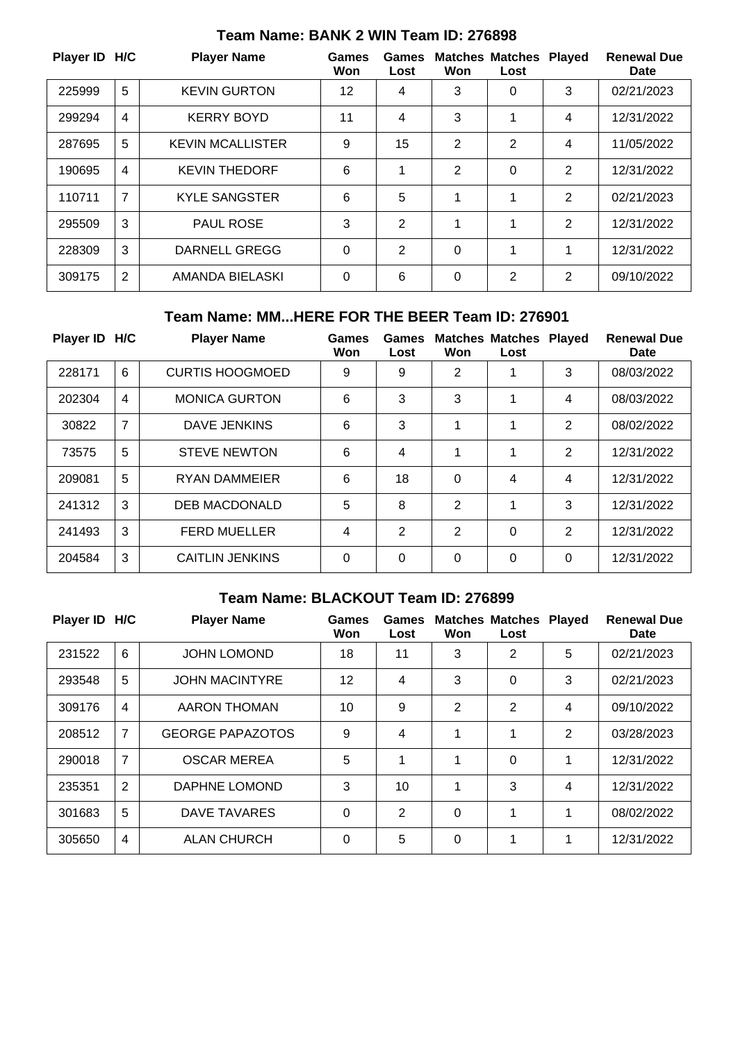| Player ID H/C |                | <b>Player Name</b>      | <b>Games</b><br>Won | <b>Games</b><br>Lost | Won      | <b>Matches Matches</b><br>Lost | <b>Played</b>  | <b>Renewal Due</b><br><b>Date</b> |
|---------------|----------------|-------------------------|---------------------|----------------------|----------|--------------------------------|----------------|-----------------------------------|
| 225999        | 5              | <b>KEVIN GURTON</b>     | 12                  | 4                    | 3        | 0                              | 3              | 02/21/2023                        |
| 299294        | $\overline{4}$ | <b>KERRY BOYD</b>       | 11                  | 4                    | 3        | 1                              | 4              | 12/31/2022                        |
| 287695        | 5              | <b>KEVIN MCALLISTER</b> | 9                   | 15                   | 2        | 2                              | 4              | 11/05/2022                        |
| 190695        | $\overline{4}$ | <b>KEVIN THEDORF</b>    | 6                   |                      | 2        | 0                              | $\overline{2}$ | 12/31/2022                        |
| 110711        | $\overline{7}$ | <b>KYLE SANGSTER</b>    | 6                   | 5                    | 1        | 1                              | $\overline{2}$ | 02/21/2023                        |
| 295509        | 3              | <b>PAUL ROSE</b>        | 3                   | $\overline{2}$       | 1        | 1                              | $\overline{2}$ | 12/31/2022                        |
| 228309        | 3              | <b>DARNELL GREGG</b>    | $\mathbf 0$         | 2                    | $\Omega$ | 1                              | 1              | 12/31/2022                        |
| 309175        | $\overline{2}$ | AMANDA BIELASKI         | $\mathbf 0$         | 6                    | 0        | $\overline{2}$                 | $\overline{2}$ | 09/10/2022                        |

## **Team Name: BANK 2 WIN Team ID: 276898**

## **Team Name: MM...HERE FOR THE BEER Team ID: 276901**

| Player ID H/C |                | <b>Player Name</b>     | <b>Games</b><br>Won | Games<br>Lost  | Won            | <b>Matches Matches</b><br>Lost | <b>Played</b> | <b>Renewal Due</b><br>Date |
|---------------|----------------|------------------------|---------------------|----------------|----------------|--------------------------------|---------------|----------------------------|
| 228171        | $6\phantom{1}$ | <b>CURTIS HOOGMOED</b> | 9                   | 9              | 2              | 1                              | 3             | 08/03/2022                 |
| 202304        | $\overline{4}$ | <b>MONICA GURTON</b>   | 6                   | 3              | 3              | 1                              | 4             | 08/03/2022                 |
| 30822         | $\overline{7}$ | DAVE JENKINS           | 6                   | 3              | 1              | 1                              | 2             | 08/02/2022                 |
| 73575         | 5              | <b>STEVE NEWTON</b>    | 6                   | 4              | 1              | 1                              | 2             | 12/31/2022                 |
| 209081        | 5              | <b>RYAN DAMMEIER</b>   | 6                   | 18             | $\Omega$       | 4                              | 4             | 12/31/2022                 |
| 241312        | 3              | <b>DEB MACDONALD</b>   | 5                   | 8              | $\overline{2}$ | 1                              | 3             | 12/31/2022                 |
| 241493        | 3              | <b>FERD MUELLER</b>    | 4                   | $\overline{2}$ | 2              | 0                              | 2             | 12/31/2022                 |
| 204584        | 3              | <b>CAITLIN JENKINS</b> | $\Omega$            | 0              | 0              | 0                              | 0             | 12/31/2022                 |

## **Team Name: BLACKOUT Team ID: 276899**

| Player ID H/C |                | <b>Player Name</b>      | <b>Games</b><br>Won | <b>Games</b><br>Lost | Won            | <b>Matches Matches</b><br>Lost | <b>Played</b> | <b>Renewal Due</b><br>Date |
|---------------|----------------|-------------------------|---------------------|----------------------|----------------|--------------------------------|---------------|----------------------------|
| 231522        | 6              | <b>JOHN LOMOND</b>      | 18                  | 11                   | 3              | 2                              | 5             | 02/21/2023                 |
| 293548        | 5              | <b>JOHN MACINTYRE</b>   | 12                  | 4                    | 3              | 0                              | 3             | 02/21/2023                 |
| 309176        | 4              | AARON THOMAN            | 10                  | 9                    | $\overline{2}$ | $\overline{2}$                 | 4             | 09/10/2022                 |
| 208512        | 7              | <b>GEORGE PAPAZOTOS</b> | 9                   | 4                    | 1              | 1                              | 2             | 03/28/2023                 |
| 290018        | $\overline{7}$ | <b>OSCAR MEREA</b>      | 5                   | 1                    | 1              | $\Omega$                       | 1             | 12/31/2022                 |
| 235351        | 2              | DAPHNE LOMOND           | 3                   | 10                   | 1              | 3                              | 4             | 12/31/2022                 |
| 301683        | 5              | DAVE TAVARES            | $\Omega$            | 2                    | 0              | 1                              | 1             | 08/02/2022                 |
| 305650        | 4              | <b>ALAN CHURCH</b>      | $\Omega$            | 5                    | 0              | 1                              | 1             | 12/31/2022                 |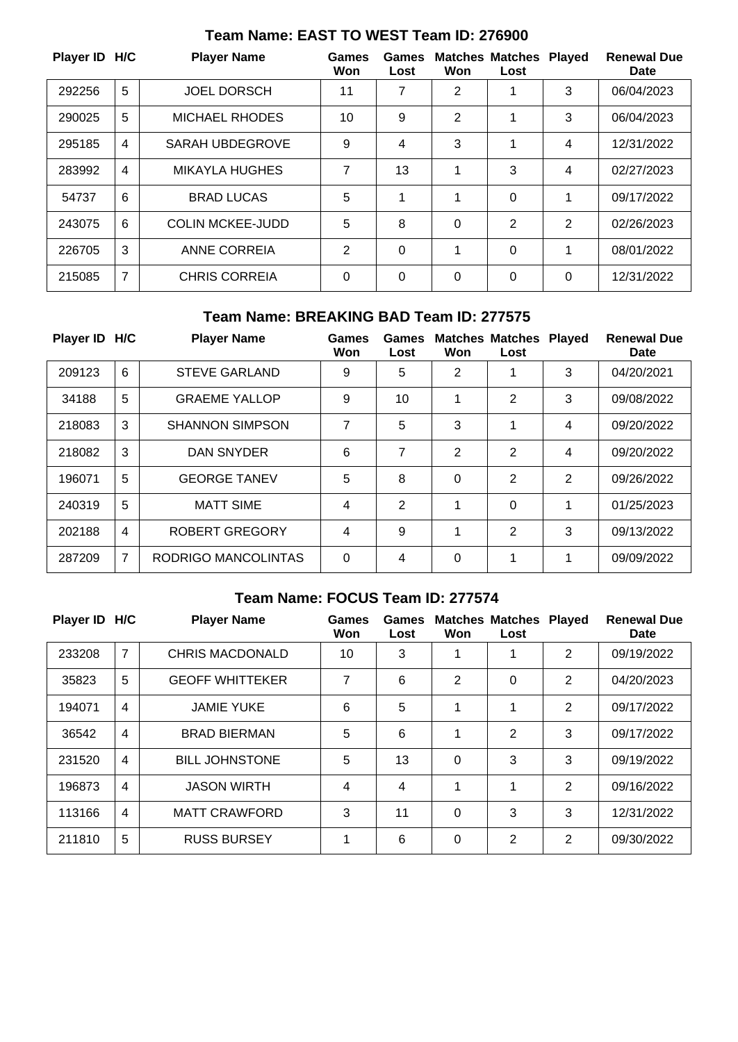| Player ID H/C |   | <b>Player Name</b>      | <b>Games</b><br>Won | Games<br>Lost | Won            | <b>Matches Matches</b><br>Lost | <b>Played</b> | <b>Renewal Due</b><br><b>Date</b> |
|---------------|---|-------------------------|---------------------|---------------|----------------|--------------------------------|---------------|-----------------------------------|
| 292256        | 5 | <b>JOEL DORSCH</b>      | 11                  | 7             | $\overline{2}$ |                                | 3             | 06/04/2023                        |
| 290025        | 5 | <b>MICHAEL RHODES</b>   | 10                  | 9             | $\overline{2}$ |                                | 3             | 06/04/2023                        |
| 295185        | 4 | SARAH UBDEGROVE         | 9                   | 4             | 3              |                                | 4             | 12/31/2022                        |
| 283992        | 4 | <b>MIKAYLA HUGHES</b>   | 7                   | 13            |                | 3                              | 4             | 02/27/2023                        |
| 54737         | 6 | <b>BRAD LUCAS</b>       | 5                   | 1             | 1              | 0                              | 1             | 09/17/2022                        |
| 243075        | 6 | <b>COLIN MCKEE-JUDD</b> | 5                   | 8             | $\mathbf 0$    | 2                              | 2             | 02/26/2023                        |
| 226705        | 3 | ANNE CORREIA            | 2                   | 0             | 1              | 0                              | 1             | 08/01/2022                        |
| 215085        | 7 | <b>CHRIS CORREIA</b>    | 0                   | 0             | 0              | 0                              | $\Omega$      | 12/31/2022                        |

## **Team Name: EAST TO WEST Team ID: 276900**

### **Team Name: BREAKING BAD Team ID: 277575**

| Player ID H/C |                | <b>Player Name</b>     | Games<br>Won | Games<br>Lost  | Won | <b>Matches Matches</b><br>Lost | <b>Played</b> | <b>Renewal Due</b><br>Date |
|---------------|----------------|------------------------|--------------|----------------|-----|--------------------------------|---------------|----------------------------|
| 209123        | 6              | <b>STEVE GARLAND</b>   | 9            | 5              | 2   | 1                              | 3             | 04/20/2021                 |
| 34188         | 5              | <b>GRAEME YALLOP</b>   | 9            | 10             | 1   | 2                              | 3             | 09/08/2022                 |
| 218083        | 3              | <b>SHANNON SIMPSON</b> | 7            | 5              | 3   | 1                              | 4             | 09/20/2022                 |
| 218082        | 3              | DAN SNYDER             | 6            | 7              | 2   | 2                              | 4             | 09/20/2022                 |
| 196071        | 5              | <b>GEORGE TANEV</b>    | 5            | 8              | 0   | 2                              | 2             | 09/26/2022                 |
| 240319        | 5              | <b>MATT SIME</b>       | 4            | $\overline{2}$ | 1   | 0                              | 1             | 01/25/2023                 |
| 202188        | 4              | ROBERT GREGORY         | 4            | 9              | 1   | 2                              | 3             | 09/13/2022                 |
| 287209        | $\overline{7}$ | RODRIGO MANCOLINTAS    | $\Omega$     | 4              | 0   | 1                              | 1             | 09/09/2022                 |

## **Team Name: FOCUS Team ID: 277574**

| Player ID H/C |                | <b>Player Name</b>     | <b>Games</b><br>Won | Games<br>Lost | Won            | <b>Matches Matches</b><br>Lost | <b>Played</b> | <b>Renewal Due</b><br>Date |
|---------------|----------------|------------------------|---------------------|---------------|----------------|--------------------------------|---------------|----------------------------|
| 233208        | $\overline{7}$ | <b>CHRIS MACDONALD</b> | 10                  | 3             |                | 1                              | 2             | 09/19/2022                 |
| 35823         | 5              | <b>GEOFF WHITTEKER</b> | 7                   | 6             | $\overline{2}$ | 0                              | 2             | 04/20/2023                 |
| 194071        | $\overline{4}$ | <b>JAMIE YUKE</b>      | 6                   | 5             | 1              | 1                              | 2             | 09/17/2022                 |
| 36542         | 4              | <b>BRAD BIERMAN</b>    | 5                   | 6             | 1              | $\overline{2}$                 | 3             | 09/17/2022                 |
| 231520        | $\overline{4}$ | <b>BILL JOHNSTONE</b>  | 5                   | 13            | 0              | 3                              | 3             | 09/19/2022                 |
| 196873        | $\overline{4}$ | <b>JASON WIRTH</b>     | 4                   | 4             | 1              | 1                              | 2             | 09/16/2022                 |
| 113166        | $\overline{4}$ | <b>MATT CRAWFORD</b>   | 3                   | 11            | 0              | 3                              | 3             | 12/31/2022                 |
| 211810        | 5              | <b>RUSS BURSEY</b>     | 1                   | 6             | 0              | 2                              | 2             | 09/30/2022                 |